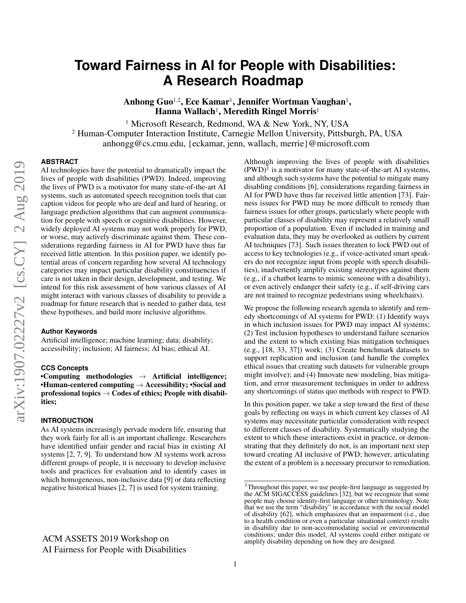# **Toward Fairness in AI for People with Disabilities: A Research Roadmap**

Anhong Guo<sup>1,2</sup>, Ece Kamar<sup>1</sup>, Jennifer Wortman Vaughan<sup>1</sup>, Hanna Wallach<sup>1</sup>, Meredith Ringel Morris<sup>1</sup>

<sup>1</sup> Microsoft Research, Redmond, WA & New York, NY, USA <sup>2</sup> Human-Computer Interaction Institute, Carnegie Mellon University, Pittsburgh, PA, USA anhongg@cs.cmu.edu, {eckamar, jenn, wallach, merrie}@microsoft.com

## **ABSTRACT**

AI technologies have the potential to dramatically impact the lives of people with disabilities (PWD). Indeed, improving the lives of PWD is a motivator for many state-of-the-art AI systems, such as automated speech recognition tools that can caption videos for people who are deaf and hard of hearing, or language prediction algorithms that can augment communication for people with speech or cognitive disabilities. However, widely deployed AI systems may not work properly for PWD, or worse, may actively discriminate against them. These considerations regarding fairness in AI for PWD have thus far received little attention. In this position paper, we identify potential areas of concern regarding how several AI technology categories may impact particular disability constituencies if care is not taken in their design, development, and testing. We intend for this risk assessment of how various classes of AI might interact with various classes of disability to provide a roadmap for future research that is needed to gather data, test these hypotheses, and build more inclusive algorithms.

## **Author Keywords**

Artificial intelligence; machine learning; data; disability; accessibility; inclusion; AI fairness; AI bias; ethical AI.

## **CCS Concepts**

•Computing methodologies  $\rightarrow$  Artificial intelligence; •Human-centered computing  $\rightarrow$  Accessibility; •Social and professional topics  $\rightarrow$  Codes of ethics; People with disabilities;

## **INTRODUCTION**

As AI systems increasingly pervade modern life, ensuring that they work fairly for all is an important challenge. Researchers have identified unfair gender and racial bias in existing AI systems [\[2,](#page-5-0) [7,](#page-5-1) [9\]](#page-5-2). To understand how AI systems work across different groups of people, it is necessary to develop inclusive tools and practices for evaluation and to identify cases in which homogeneous, non-inclusive data [\[9\]](#page-5-2) or data reflecting negative historical biases [\[2,](#page-5-0) [7\]](#page-5-1) is used for system training.

Although improving the lives of people with disabilities  $(PWD)^{I}$  is a motivator for many state-of-the-art AI systems, and although such systems have the potential to mitigate many disabling conditions [\[6\]](#page-5-3), considerations regarding fairness in AI for PWD have thus far received little attention [\[73\]](#page-8-0). Fairness issues for PWD may be more difficult to remedy than fairness issues for other groups, particularly where people with particular classes of disability may represent a relatively small proportion of a population. Even if included in training and evaluation data, they may be overlooked as outliers by current AI techniques [\[73\]](#page-8-0). Such issues threaten to lock PWD out of access to key technologies (e.g., if voice-activated smart speakers do not recognize input from people with speech disabilities), inadvertently amplify existing stereotypes against them (e.g., if a chatbot learns to mimic someone with a disability), or even actively endanger their safety (e.g., if self-driving cars are not trained to recognize pedestrians using wheelchairs).

We propose the following research agenda to identify and remedy shortcomings of AI systems for PWD: (1) Identify ways in which inclusion issues for PWD may impact AI systems; (2) Test inclusion hypotheses to understand failure scenarios and the extent to which existing bias mitigation techniques (e.g., [\[18,](#page-5-4) [33,](#page-6-0) [37\]](#page-6-1)) work; (3) Create benchmark datasets to support replication and inclusion (and handle the complex ethical issues that creating such datasets for vulnerable groups might involve); and (4) Innovate new modeling, bias mitigation, and error measurement techniques in order to address any shortcomings of status quo methods with respect to PWD.

In this position paper, we take a step toward the first of these goals by reflecting on ways in which current key classes of AI systems may necessitate particular consideration with respect to different classes of disability. Systematically studying the extent to which these interactions exist in practice, or demonstrating that they definitely do not, is an important next step toward creating AI inclusive of PWD; however, articulating the extent of a problem is a necessary precursor to remediation.

<span id="page-0-0"></span> $1$ Throughout this paper, we use people-first language as suggested by the ACM SIGACCESS guidelines [\[32\]](#page-6-2), but we recognize that some people may choose identity-first language or other terminology. Note that we use the term "disability" in accordance with the social model of disability [\[62\]](#page-7-0), which emphasizes that an impairment (i.e., due to a health condition or even a particular situational context) results in disability due to non-accommodating social or environmental conditions; under this model, AI systems could either mitigate or amplify disability depending on how they are designed.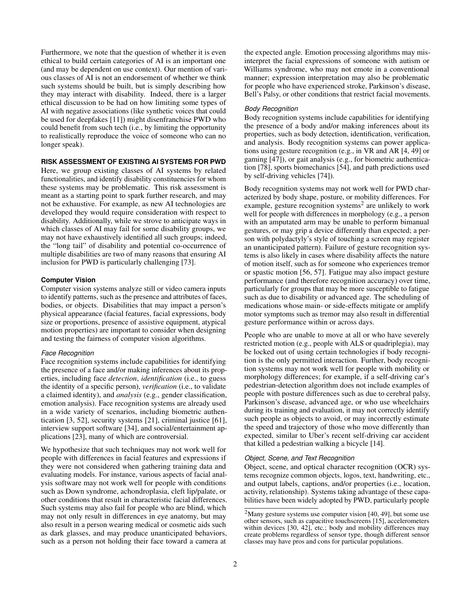Furthermore, we note that the question of whether it is even ethical to build certain categories of AI is an important one (and may be dependent on use context). Our mention of various classes of AI is not an endorsement of whether we think such systems should be built, but is simply describing how they may interact with disability. Indeed, there is a larger ethical discussion to be had on how limiting some types of AI with negative associations (like synthetic voices that could be used for deepfakes [\[11\]](#page-5-5)) might disenfranchise PWD who could benefit from such tech (i.e., by limiting the opportunity to realistically reproduce the voice of someone who can no longer speak).

## **RISK ASSESSMENT OF EXISTING AI SYSTEMS FOR PWD**

Here, we group existing classes of AI systems by related functionalities, and identify disability constituencies for whom these systems may be problematic. This risk assessment is meant as a starting point to spark further research, and may not be exhaustive. For example, as new AI technologies are developed they would require consideration with respect to disability. Additionally, while we strove to anticipate ways in which classes of AI may fail for some disability groups, we may not have exhaustively identified all such groups; indeed, the "long tail" of disability and potential co-occurrence of multiple disabilities are two of many reasons that ensuring AI inclusion for PWD is particularly challenging [\[73\]](#page-8-0).

## **Computer Vision**

Computer vision systems analyze still or video camera inputs to identify patterns, such as the presence and attributes of faces, bodies, or objects. Disabilities that may impact a person's physical appearance (facial features, facial expressions, body size or proportions, presence of assistive equipment, atypical motion properties) are important to consider when designing and testing the fairness of computer vision algorithms.

#### *Face Recognition*

Face recognition systems include capabilities for identifying the presence of a face and/or making inferences about its properties, including face *detection*, *identification* (i.e., to guess the identity of a specific person), *verification* (i.e., to validate a claimed identity), and *analysis* (e.g., gender classification, emotion analysis). Face recognition systems are already used in a wide variety of scenarios, including biometric authentication [\[3,](#page-5-6) [52\]](#page-7-1), security systems [\[21\]](#page-5-7), criminal justice [\[61\]](#page-7-2), interview support software [\[34\]](#page-6-3), and social/entertainment applications [\[23\]](#page-5-8), many of which are controversial.

We hypothesize that such techniques may not work well for people with differences in facial features and expressions if they were not considered when gathering training data and evaluating models. For instance, various aspects of facial analysis software may not work well for people with conditions such as Down syndrome, achondroplasia, cleft lip/palate, or other conditions that result in characteristic facial differences. Such systems may also fail for people who are blind, which may not only result in differences in eye anatomy, but may also result in a person wearing medical or cosmetic aids such as dark glasses, and may produce unanticipated behaviors, such as a person not holding their face toward a camera at

the expected angle. Emotion processing algorithms may misinterpret the facial expressions of someone with autism or Williams syndrome, who may not emote in a conventional manner; expression interpretation may also be problematic for people who have experienced stroke, Parkinson's disease, Bell's Palsy, or other conditions that restrict facial movements.

#### *Body Recognition*

Body recognition systems include capabilities for identifying the presence of a body and/or making inferences about its properties, such as body detection, identification, verification, and analysis. Body recognition systems can power applications using gesture recognition (e.g., in VR and AR [\[4,](#page-5-9) [49\]](#page-7-3) or gaming [\[47\]](#page-7-4)), or gait analysis (e.g., for biometric authentication [\[78\]](#page-8-1), sports biomechanics [\[54\]](#page-7-5), and path predictions used by self-driving vehicles [\[74\]](#page-8-2)).

Body recognition systems may not work well for PWD characterized by body shape, posture, or mobility differences. For example, gesture recognition systems<sup>[2](#page-1-0)</sup> are unlikely to work well for people with differences in morphology (e.g., a person with an amputated arm may be unable to perform bimanual gestures, or may grip a device differently than expected; a person with polydactyly's style of touching a screen may register an unanticipated pattern). Failure of gesture recognition systems is also likely in cases where disability affects the nature of motion itself, such as for someone who experiences tremor or spastic motion [\[56,](#page-7-6) [57\]](#page-7-7). Fatigue may also impact gesture performance (and therefore recognition accuracy) over time, particularly for groups that may be more susceptible to fatigue such as due to disability or advanced age. The scheduling of medications whose main- or side-effects mitigate or amplify motor symptoms such as tremor may also result in differential gesture performance within or across days.

People who are unable to move at all or who have severely restricted motion (e.g., people with ALS or quadriplegia), may be locked out of using certain technologies if body recognition is the only permitted interaction. Further, body recognition systems may not work well for people with mobility or morphology differences; for example, if a self-driving car's pedestrian-detection algorithm does not include examples of people with posture differences such as due to cerebral palsy, Parkinson's disease, advanced age, or who use wheelchairs during its training and evaluation, it may not correctly identify such people as objects to avoid, or may incorrectly estimate the speed and trajectory of those who move differently than expected, similar to Uber's recent self-driving car accident that killed a pedestrian walking a bicycle [\[14\]](#page-5-10).

#### *Object, Scene, and Text Recognition*

Object, scene, and optical character recognition (OCR) systems recognize common objects, logos, text, handwriting, etc., and output labels, captions, and/or properties (i.e., location, activity, relationship). Systems taking advantage of these capabilities have been widely adopted by PWD, particularly people

<span id="page-1-0"></span> $2$ Many gesture systems use computer vision [\[40,](#page-6-4) [49\]](#page-7-3), but some use other sensors, such as capacitive touchscreens [\[15\]](#page-5-11), accelerometers within devices [\[30,](#page-6-5) [42\]](#page-6-6), etc.; body and mobility differences may create problems regardless of sensor type, though different sensor classes may have pros and cons for particular populations.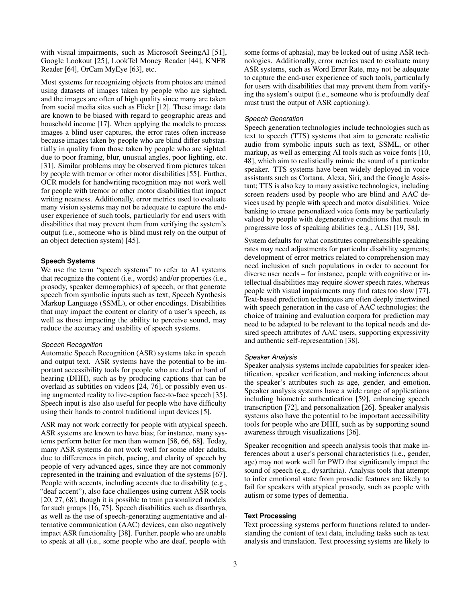with visual impairments, such as Microsoft SeeingAI [\[51\]](#page-7-8), Google Lookout [\[25\]](#page-6-7), LookTel Money Reader [\[44\]](#page-6-8), KNFB Reader [\[64\]](#page-7-9), OrCam MyEye [\[63\]](#page-7-10), etc.

Most systems for recognizing objects from photos are trained using datasets of images taken by people who are sighted, and the images are often of high quality since many are taken from social media sites such as Flickr [\[12\]](#page-5-12). These image data are known to be biased with regard to geographic areas and household income [\[17\]](#page-5-13). When applying the models to process images a blind user captures, the error rates often increase because images taken by people who are blind differ substantially in quality from those taken by people who are sighted due to poor framing, blur, unusual angles, poor lighting, etc. [\[31\]](#page-6-9). Similar problems may be observed from pictures taken by people with tremor or other motor disabilities [\[55\]](#page-7-11). Further, OCR models for handwriting recognition may not work well for people with tremor or other motor disabilities that impact writing neatness. Additionally, error metrics used to evaluate many vision systems may not be adequate to capture the enduser experience of such tools, particularly for end users with disabilities that may prevent them from verifying the system's output (i.e., someone who is blind must rely on the output of an object detection system) [\[45\]](#page-7-12).

#### **Speech Systems**

We use the term "speech systems" to refer to AI systems that recognize the content (i.e., words) and/or properties (i.e., prosody, speaker demographics) of speech, or that generate speech from symbolic inputs such as text, Speech Synthesis Markup Language (SSML), or other encodings. Disabilities that may impact the content or clarity of a user's speech, as well as those impacting the ability to perceive sound, may reduce the accuracy and usability of speech systems.

#### *Speech Recognition*

Automatic Speech Recognition (ASR) systems take in speech and output text. ASR systems have the potential to be important accessibility tools for people who are deaf or hard of hearing (DHH), such as by producing captions that can be overlaid as subtitles on videos [\[24,](#page-5-14) [76\]](#page-8-3), or possibly even using augmented reality to live-caption face-to-face speech [\[35\]](#page-6-10). Speech input is also also useful for people who have difficulty using their hands to control traditional input devices [\[5\]](#page-5-15).

ASR may not work correctly for people with atypical speech. ASR systems are known to have bias; for instance, many systems perform better for men than women [\[58,](#page-7-13) [66,](#page-7-14) [68\]](#page-7-15). Today, many ASR systems do not work well for some older adults, due to differences in pitch, pacing, and clarity of speech by people of very advanced ages, since they are not commonly represented in the training and evaluation of the systems [\[67\]](#page-7-16). People with accents, including accents due to disability (e.g., "deaf accent"), also face challenges using current ASR tools [\[20,](#page-5-16) [27,](#page-6-11) [68\]](#page-7-15), though it is possible to train personalized models for such groups [\[16,](#page-5-17) [75\]](#page-8-4). Speech disabilities such as disarthrya, as well as the use of speech-generating augmentative and alternative communication (AAC) devices, can also negatively impact ASR functionality [\[38\]](#page-6-12). Further, people who are unable to speak at all (i.e., some people who are deaf, people with

some forms of aphasia), may be locked out of using ASR technologies. Additionally, error metrics used to evaluate many ASR systems, such as Word Error Rate, may not be adequate to capture the end-user experience of such tools, particularly for users with disabilities that may prevent them from verifying the system's output (i.e., someone who is profoundly deaf must trust the output of ASR captioning).

#### *Speech Generation*

Speech generation technologies include technologies such as text to speech (TTS) systems that aim to generate realistic audio from symbolic inputs such as text, SSML, or other markup, as well as emerging AI tools such as voice fonts [\[10,](#page-5-18) [48\]](#page-7-17), which aim to realistically mimic the sound of a particular speaker. TTS systems have been widely deployed in voice assistants such as Cortana, Alexa, Siri, and the Google Assistant; TTS is also key to many assistive technologies, including screen readers used by people who are blind and AAC devices used by people with speech and motor disabilities. Voice banking to create personalized voice fonts may be particularly valued by people with degenerative conditions that result in progressive loss of speaking abilities (e.g., ALS) [\[19,](#page-5-19) [38\]](#page-6-12).

System defaults for what constitutes comprehensible speaking rates may need adjustments for particular disability segments; development of error metrics related to comprehension may need inclusion of such populations in order to account for diverse user needs – for instance, people with cognitive or intellectual disabilities may require slower speech rates, whereas people with visual impairments may find rates too slow [\[77\]](#page-8-5). Text-based prediction techniques are often deeply intertwined with speech generation in the case of AAC technologies; the choice of training and evaluation corpora for prediction may need to be adapted to be relevant to the topical needs and desired speech attributes of AAC users, supporting expressivity and authentic self-representation [\[38\]](#page-6-12).

#### *Speaker Analysis*

Speaker analysis systems include capabilities for speaker identification, speaker verification, and making inferences about the speaker's attributes such as age, gender, and emotion. Speaker analysis systems have a wide range of applications including biometric authentication [\[59\]](#page-7-18), enhancing speech transcription [\[72\]](#page-8-6), and personalization [\[26\]](#page-6-13). Speaker analysis systems also have the potential to be important accessibility tools for people who are DHH, such as by supporting sound awareness through visualizations [\[36\]](#page-6-14).

Speaker recognition and speech analysis tools that make inferences about a user's personal characteristics (i.e., gender, age) may not work well for PWD that significantly impact the sound of speech (e.g., dysarthria). Analysis tools that attempt to infer emotional state from prosodic features are likely to fail for speakers with atypical prosody, such as people with autism or some types of dementia.

#### **Text Processing**

Text processing systems perform functions related to understanding the content of text data, including tasks such as text analysis and translation. Text processing systems are likely to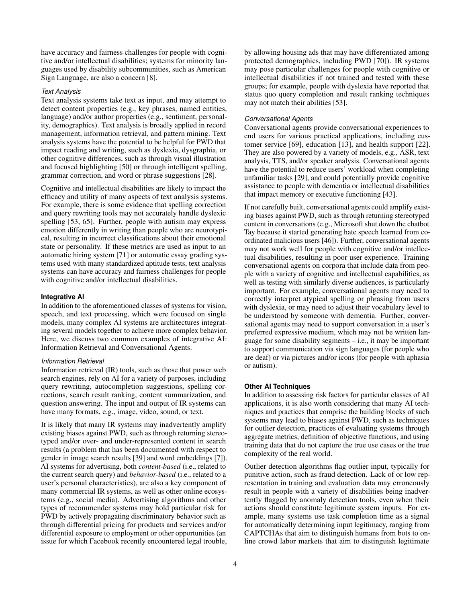have accuracy and fairness challenges for people with cognitive and/or intellectual disabilities; systems for minority languages used by disability subcommunities, such as American Sign Language, are also a concern [\[8\]](#page-5-20).

## *Text Analysis*

Text analysis systems take text as input, and may attempt to detect content properties (e.g., key phrases, named entities, language) and/or author properties (e.g., sentiment, personality, demographics). Text analysis is broadly applied in record management, information retrieval, and pattern mining. Text analysis systems have the potential to be helpful for PWD that impact reading and writing, such as dyslexia, dysgraphia, or other cognitive differences, such as through visual illustration and focused highlighting [\[50\]](#page-7-19) or through intelligent spelling, grammar correction, and word or phrase suggestions [\[28\]](#page-6-15).

Cognitive and intellectual disabilities are likely to impact the efficacy and utility of many aspects of text analysis systems. For example, there is some evidence that spelling correction and query rewriting tools may not accurately handle dyslexic spelling [\[53,](#page-7-20) [65\]](#page-7-21). Further, people with autism may express emotion differently in writing than people who are neurotypical, resulting in incorrect classifications about their emotional state or personality. If these metrics are used as input to an automatic hiring system [\[71\]](#page-8-7) or automatic essay grading systems used with many standardized aptitude tests, text analysis systems can have accuracy and fairness challenges for people with cognitive and/or intellectual disabilities.

## **Integrative AI**

In addition to the aforementioned classes of systems for vision, speech, and text processing, which were focused on single models, many complex AI systems are architectures integrating several models together to achieve more complex behavior. Here, we discuss two common examples of integrative AI: Information Retrieval and Conversational Agents.

#### *Information Retrieval*

Information retrieval (IR) tools, such as those that power web search engines, rely on AI for a variety of purposes, including query rewriting, autocompletion suggestions, spelling corrections, search result ranking, content summarization, and question answering. The input and output of IR systems can have many formats, e.g., image, video, sound, or text.

It is likely that many IR systems may inadvertently amplify existing biases against PWD, such as through returning stereotyped and/or over- and under-represented content in search results (a problem that has been documented with respect to gender in image search results [\[39\]](#page-6-16) and word embeddings [\[7\]](#page-5-1)). AI systems for advertising, both *content-based* (i.e., related to the current search query) and *behavior-based* (i.e., related to a user's personal characteristics), are also a key component of many commercial IR systems, as well as other online ecosystems (e.g., social media). Advertising algorithms and other types of recommender systems may hold particular risk for PWD by actively propagating discriminatory behavior such as through differential pricing for products and services and/or differential exposure to employment or other opportunities (an issue for which Facebook recently encountered legal trouble, by allowing housing ads that may have differentiated among protected demographics, including PWD [\[70\]](#page-8-8)). IR systems may pose particular challenges for people with cognitive or intellectual disabilities if not trained and tested with these groups; for example, people with dyslexia have reported that status quo query completion and result ranking techniques may not match their abilities [\[53\]](#page-7-20).

#### *Conversational Agents*

Conversational agents provide conversational experiences to end users for various practical applications, including customer service [\[69\]](#page-8-9), education [\[13\]](#page-5-21), and health support [\[22\]](#page-5-22). They are also powered by a variety of models, e.g., ASR, text analysis, TTS, and/or speaker analysis. Conversational agents have the potential to reduce users' workload when completing unfamiliar tasks [\[29\]](#page-6-17), and could potentially provide cognitive assistance to people with dementia or intellectual disabilities that impact memory or executive functioning [\[43\]](#page-6-18).

If not carefully built, conversational agents could amplify existing biases against PWD, such as through returning stereotyped content in conversations (e.g., Microsoft shut down the chatbot Tay because it started generating hate speech learned from coordinated malicious users [\[46\]](#page-7-22)). Further, conversational agents may not work well for people with cognitive and/or intellectual disabilities, resulting in poor user experience. Training conversational agents on corpora that include data from people with a variety of cognitive and intellectual capabilities, as well as testing with similarly diverse audiences, is particularly important. For example, conversational agents may need to correctly interpret atypical spelling or phrasing from users with dyslexia, or may need to adjust their vocabulary level to be understood by someone with dementia. Further, conversational agents may need to support conversation in a user's preferred expressive medium, which may not be written language for some disability segments – i.e., it may be important to support communication via sign languages (for people who are deaf) or via pictures and/or icons (for people with aphasia or autism).

#### **Other AI Techniques**

In addition to assessing risk factors for particular classes of AI applications, it is also worth considering that many AI techniques and practices that comprise the building blocks of such systems may lead to biases against PWD, such as techniques for outlier detection, practices of evaluating systems through aggregate metrics, definition of objective functions, and using training data that do not capture the true use cases or the true complexity of the real world.

Outlier detection algorithms flag outlier input, typically for punitive action, such as fraud detection. Lack of or low representation in training and evaluation data may erroneously result in people with a variety of disabilities being inadvertently flagged by anomaly detection tools, even when their actions should constitute legitimate system inputs. For example, many systems use task completion time as a signal for automatically determining input legitimacy, ranging from CAPTCHAs that aim to distinguish humans from bots to online crowd labor markets that aim to distinguish legitimate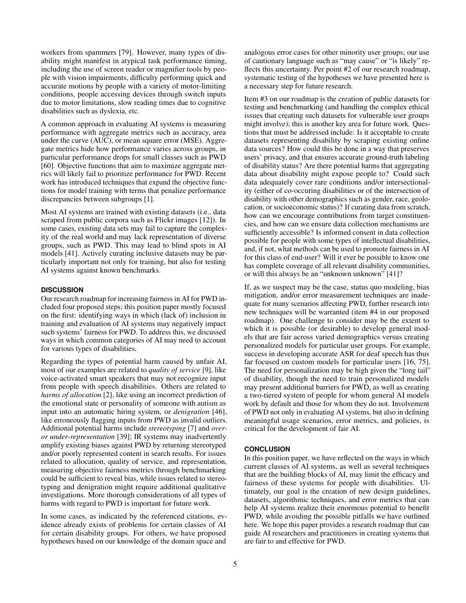workers from spammers [\[79\]](#page-8-10). However, many types of disability might manifest in atypical task performance timing, including the use of screen reader or magnifier tools by people with vision impairments, difficulty performing quick and accurate motions by people with a variety of motor-limiting conditions, people accessing devices through switch inputs due to motor limitations, slow reading times due to cognitive disabilities such as dyslexia, etc.

A common approach in evaluating AI systems is measuring performance with aggregate metrics such as accuracy, area under the curve (AUC), or mean square error (MSE). Aggregate metrics hide how performance varies across groups, in particular performance drops for small classes such as PWD [\[60\]](#page-7-23). Objective functions that aim to maximize aggregate metrics will likely fail to prioritize performance for PWD. Recent work has introduced techniques that expand the objective functions for model training with terms that penalize performance discrepancies between subgroups [\[1\]](#page-5-23).

Most AI systems are trained with existing datasets (i.e., data scraped from public corpora such as Flickr images [\[12\]](#page-5-12)). In some cases, existing data sets may fail to capture the complexity of the real world and may lack representation of diverse groups, such as PWD. This may lead to blind spots in AI models [\[41\]](#page-6-19). Actively curating inclusive datasets may be particularly important not only for training, but also for testing AI systems against known benchmarks.

## **DISCUSSION**

Our research roadmap for increasing fairness in AI for PWD included four proposed steps; this position paper mostly focused on the first: identifying ways in which (lack of) inclusion in training and evaluation of AI systems may negatively impact such systems' fairness for PWD. To address this, we discussed ways in which common categories of AI may need to account for various types of disabilities.

Regarding the types of potential harm caused by unfair AI, most of our examples are related to *quality of service* [\[9\]](#page-5-2), like voice-activated smart speakers that may not recognize input from people with speech disabilities. Others are related to *harms of allocation* [\[2\]](#page-5-0), like using an incorrect prediction of the emotional state or personality of someone with autism as input into an automatic hiring system, or *denigration* [\[46\]](#page-7-22), like erroneously flagging inputs from PWD as invalid outliers. Additional potential harms include *stereotyping* [\[7\]](#page-5-1) and *overor under-representation* [\[39\]](#page-6-16); IR systems may inadvertently amplify existing biases against PWD by returning stereotyped and/or poorly represented content in search results. For issues related to allocation, quality of service, and representation, measuring objective fairness metrics through benchmarking could be sufficient to reveal bias, while issues related to stereotyping and denigration might require additional qualitative investigations. More thorough considerations of all types of harms with regard to PWD is important for future work.

In some cases, as indicated by the referenced citations, evidence already exists of problems for certain classes of AI for certain disability groups. For others, we have proposed hypotheses based on our knowledge of the domain space and

analogous error cases for other minority user groups; our use of cautionary language such as "may cause" or "is likely" reflects this uncertainty. Per point #2 of our research roadmap, systematic testing of the hypotheses we have presented here is a necessary step for future research.

Item #3 on our roadmap is the creation of public datasets for testing and benchmarking (and handling the complex ethical issues that creating such datasets for vulnerable user groups might involve); this is another key area for future work. Questions that must be addressed include: Is it acceptable to create datasets representing disability by scraping existing online data sources? How could this be done in a way that preserves users' privacy, and that ensures accurate ground-truth labeling of disability status? Are there potential harms that aggregating data about disability might expose people to? Could such data adequately cover rare conditions and/or intersectionality (either of co-occuring disabilities or of the intersection of disability with other demographics such as gender, race, geolocation, or socioeconomic status)? If curating data from scratch, how can we encourage contributions from target constituencies, and how can we ensure data collection mechanisms are sufficiently accessible? Is informed consent in data collection possible for people with some types of intellectual disabilities, and, if not, what methods can be used to promote fairness in AI for this class of end-user? Will it ever be possible to know one has complete coverage of all relevant disability communities, or will this always be an "unknown unknown" [\[41\]](#page-6-19)?

If, as we suspect may be the case, status quo modeling, bias mitigation, and/or error measurement techniques are inadequate for many scenarios affecting PWD, further research into new techniques will be warranted (item #4 in our proposed roadmap). One challenge to consider may be the extent to which it is possible (or desirable) to develop general models that are fair across varied demographics versus creating personalized models for particular user groups. For example, success in developing accurate ASR for deaf speech has thus far focused on custom models for particular users [\[16,](#page-5-17) [75\]](#page-8-4). The need for personalization may be high given the "long tail" of disability, though the need to train personalized models may present additional barriers for PWD, as well as creating a two-tiered system of people for whom general AI models work by default and those for whom they do not. Involvement of PWD not only in evaluating AI systems, but also in defining meaningful usage scenarios, error metrics, and policies, is critical for the development of fair AI.

# **CONCLUSION**

In this position paper, we have reflected on the ways in which current classes of AI systems, as well as several techniques that are the building blocks of AI, may limit the efficacy and fairness of these systems for people with disabilities. Ultimately, our goal is the creation of new design guidelines, datasets, algorithmic techniques, and error metrics that can help AI systems realize their enormous potential to benefit PWD, while avoiding the possible pitfalls we have outlined here. We hope this paper provides a research roadmap that can guide AI researchers and practitioners in creating systems that are fair to and effective for PWD.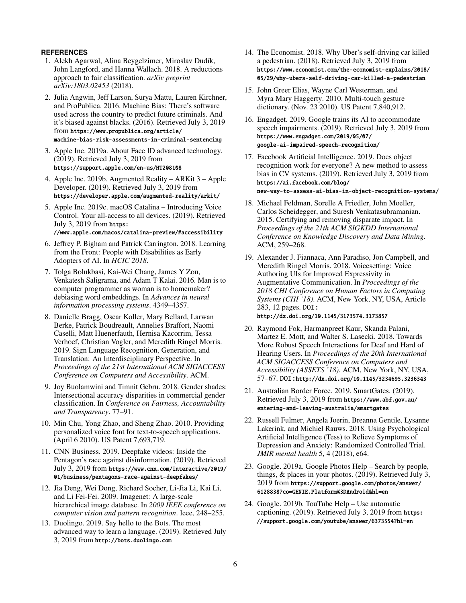# <span id="page-5-23"></span>**REFERENCES**

- 1. Alekh Agarwal, Alina Beygelzimer, Miroslav Dudík, John Langford, and Hanna Wallach. 2018. A reductions approach to fair classification. *arXiv preprint arXiv:1803.02453* (2018).
- <span id="page-5-0"></span>2. Julia Angwin, Jeff Larson, Surya Mattu, Lauren Kirchner, and ProPublica. 2016. Machine Bias: There's software used across the country to predict future criminals. And it's biased against blacks. (2016). Retrieved July 3, 2019 from [https://www.propublica.org/article/](https://www.propublica.org/article/machine-bias-risk-assessments-in-criminal-sentencing) [machine-bias-risk-assessments-in-criminal-sentencing](https://www.propublica.org/article/machine-bias-risk-assessments-in-criminal-sentencing)
- <span id="page-5-6"></span>3. Apple Inc. 2019a. About Face ID advanced technology. (2019). Retrieved July 3, 2019 from <https://support.apple.com/en-us/HT208108>
- <span id="page-5-9"></span>4. Apple Inc. 2019b. Augmented Reality – ARKit 3 – Apple Developer. (2019). Retrieved July 3, 2019 from <https://developer.apple.com/augmented-reality/arkit/>
- <span id="page-5-15"></span>5. Apple Inc. 2019c. macOS Catalina – Introducing Voice Control. Your all-access to all devices. (2019). Retrieved July 3, 2019 from [https:](https://www.apple.com/macos/catalina-preview/#accessibility)

[//www.apple.com/macos/catalina-preview/#accessibility](https://www.apple.com/macos/catalina-preview/#accessibility)

- <span id="page-5-3"></span>6. Jeffrey P. Bigham and Patrick Carrington. 2018. Learning from the Front: People with Disabilities as Early Adopters of AI. In *HCIC 2018*.
- <span id="page-5-1"></span>7. Tolga Bolukbasi, Kai-Wei Chang, James Y Zou, Venkatesh Saligrama, and Adam T Kalai. 2016. Man is to computer programmer as woman is to homemaker? debiasing word embeddings. In *Advances in neural information processing systems*. 4349–4357.
- <span id="page-5-20"></span>8. Danielle Bragg, Oscar Koller, Mary Bellard, Larwan Berke, Patrick Boudreault, Annelies Braffort, Naomi Caselli, Matt Huenerfauth, Hernisa Kacorrim, Tessa Verhoef, Christian Vogler, and Meredith Ringel Morris. 2019. Sign Language Recognition, Generation, and Translation: An Interdisciplinary Perspective. In *Proceedings of the 21st International ACM SIGACCESS Conference on Computers and Accessibility*. ACM.
- <span id="page-5-2"></span>9. Joy Buolamwini and Timnit Gebru. 2018. Gender shades: Intersectional accuracy disparities in commercial gender classification. In *Conference on Fairness, Accountability and Transparency*. 77–91.
- <span id="page-5-18"></span>10. Min Chu, Yong Zhao, and Sheng Zhao. 2010. Providing personalized voice font for text-to-speech applications. (April 6 2010). US Patent 7,693,719.
- <span id="page-5-5"></span>11. CNN Business. 2019. Deepfake videos: Inside the Pentagon's race against disinformation. (2019). Retrieved July 3, 2019 from [https://www.cnn.com/interactive/2019/](https://www.cnn.com/interactive/2019/01/business/pentagons-race-against-deepfakes/) [01/business/pentagons-race-against-deepfakes/](https://www.cnn.com/interactive/2019/01/business/pentagons-race-against-deepfakes/)
- <span id="page-5-12"></span>12. Jia Deng, Wei Dong, Richard Socher, Li-Jia Li, Kai Li, and Li Fei-Fei. 2009. Imagenet: A large-scale hierarchical image database. In *2009 IEEE conference on computer vision and pattern recognition*. Ieee, 248–255.
- <span id="page-5-21"></span>13. Duolingo. 2019. Say hello to the Bots. The most advanced way to learn a language. (2019). Retrieved July 3, 2019 from <http://bots.duolingo.com>
- <span id="page-5-10"></span>14. The Economist. 2018. Why Uber's self-driving car killed a pedestrian. (2018). Retrieved July 3, 2019 from [https://www.economist.com/the-economist-explains/2018/](https://www.economist.com/the-economist-explains/2018/05/29/why-ubers-self-driving-car-killed-a-pedestrian) [05/29/why-ubers-self-driving-car-killed-a-pedestrian](https://www.economist.com/the-economist-explains/2018/05/29/why-ubers-self-driving-car-killed-a-pedestrian)
- <span id="page-5-11"></span>15. John Greer Elias, Wayne Carl Westerman, and Myra Mary Haggerty. 2010. Multi-touch gesture dictionary. (Nov. 23 2010). US Patent 7,840,912.
- <span id="page-5-17"></span>16. Engadget. 2019. Google trains its AI to accommodate speech impairments. (2019). Retrieved July 3, 2019 from [https://www.engadget.com/2019/05/07/](https://www.engadget.com/2019/05/07/google-ai-impaired-speech-recognition/) [google-ai-impaired-speech-recognition/](https://www.engadget.com/2019/05/07/google-ai-impaired-speech-recognition/)
- <span id="page-5-13"></span>17. Facebook Artificial Intelligence. 2019. Does object recognition work for everyone? A new method to assess bias in CV systems. (2019). Retrieved July 3, 2019 from [https://ai.facebook.com/blog/](https://ai.facebook.com/blog/new-way-to-assess-ai-bias-in-object-recognition-systems/) [new-way-to-assess-ai-bias-in-object-recognition-systems/](https://ai.facebook.com/blog/new-way-to-assess-ai-bias-in-object-recognition-systems/)
- <span id="page-5-4"></span>18. Michael Feldman, Sorelle A Friedler, John Moeller, Carlos Scheidegger, and Suresh Venkatasubramanian. 2015. Certifying and removing disparate impact. In *Proceedings of the 21th ACM SIGKDD International Conference on Knowledge Discovery and Data Mining*. ACM, 259–268.
- <span id="page-5-19"></span>19. Alexander J. Fiannaca, Ann Paradiso, Jon Campbell, and Meredith Ringel Morris. 2018. Voicesetting: Voice Authoring UIs for Improved Expressivity in Augmentative Communication. In *Proceedings of the 2018 CHI Conference on Human Factors in Computing Systems (CHI '18)*. ACM, New York, NY, USA, Article 283, 12 pages. DOI: <http://dx.doi.org/10.1145/3173574.3173857>
- <span id="page-5-16"></span>20. Raymond Fok, Harmanpreet Kaur, Skanda Palani, Martez E. Mott, and Walter S. Lasecki. 2018. Towards More Robust Speech Interactions for Deaf and Hard of Hearing Users. In *Proceedings of the 20th International ACM SIGACCESS Conference on Computers and Accessibility (ASSETS '18)*. ACM, New York, NY, USA, 57–67. DOI:<http://dx.doi.org/10.1145/3234695.3236343>
- <span id="page-5-7"></span>21. Australian Border Force. 2019. SmartGates. (2019). Retrieved July 3, 2019 from [https://www.abf.gov.au/](https://www.abf.gov.au/entering-and-leaving-australia/smartgates) [entering-and-leaving-australia/smartgates](https://www.abf.gov.au/entering-and-leaving-australia/smartgates)
- <span id="page-5-22"></span>22. Russell Fulmer, Angela Joerin, Breanna Gentile, Lysanne Lakerink, and Michiel Rauws. 2018. Using Psychological Artificial Intelligence (Tess) to Relieve Symptoms of Depression and Anxiety: Randomized Controlled Trial. *JMIR mental health* 5, 4 (2018), e64.
- <span id="page-5-8"></span>23. Google. 2019a. Google Photos Help – Search by people, things, & places in your photos. (2019). Retrieved July 3, 2019 from [https://support.google.com/photos/answer/](https://support.google.com/photos/answer/6128838?co=GENIE.Platform%3DAndroid&hl=en) [6128838?co=GENIE.Platform%3DAndroid&hl=en](https://support.google.com/photos/answer/6128838?co=GENIE.Platform%3DAndroid&hl=en)
- <span id="page-5-14"></span>24. Google. 2019b. TouTube Help – Use automatic captioning. (2019). Retrieved July 3, 2019 from [https:](https://support.google.com/youtube/answer/6373554?hl=en) [//support.google.com/youtube/answer/6373554?hl=en](https://support.google.com/youtube/answer/6373554?hl=en)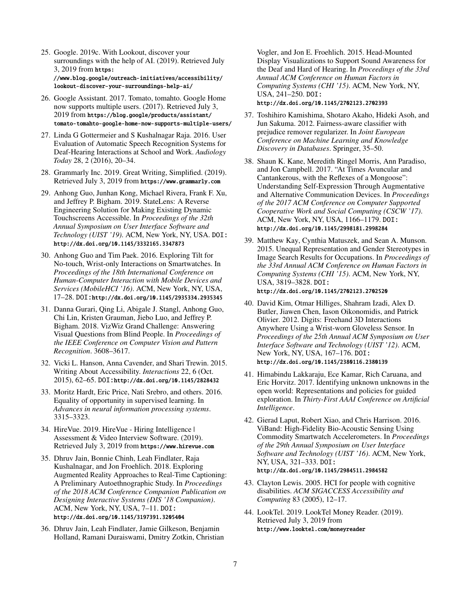- <span id="page-6-7"></span>25. Google. 2019c. With Lookout, discover your surroundings with the help of AI. (2019). Retrieved July 3, 2019 from [https:](https://www.blog.google/outreach-initiatives/accessibility/lookout-discover-your-surroundings-help-ai/) [//www.blog.google/outreach-initiatives/accessibility/](https://www.blog.google/outreach-initiatives/accessibility/lookout-discover-your-surroundings-help-ai/) [lookout-discover-your-surroundings-help-ai/](https://www.blog.google/outreach-initiatives/accessibility/lookout-discover-your-surroundings-help-ai/)
- <span id="page-6-13"></span>26. Google Assistant. 2017. Tomato, tomahto. Google Home now supports multiple users. (2017). Retrieved July 3, 2019 from [https://blog.google/products/assistant/](https://blog.google/products/assistant/tomato-tomahto-google-home-now-supports-multiple-users/) [tomato-tomahto-google-home-now-supports-multiple-users/](https://blog.google/products/assistant/tomato-tomahto-google-home-now-supports-multiple-users/)
- <span id="page-6-11"></span>27. Linda G Gottermeier and S Kushalnagar Raja. 2016. User Evaluation of Automatic Speech Recognition Systems for Deaf-Hearing Interactions at School and Work. *Audiology Today* 28, 2 (2016), 20–34.
- <span id="page-6-15"></span>28. Grammarly Inc. 2019. Great Writing, Simplified. (2019). Retrieved July 3, 2019 from <https://www.grammarly.com>
- <span id="page-6-17"></span>29. Anhong Guo, Junhan Kong, Michael Rivera, Frank F. Xu, and Jeffrey P. Bigham. 2019. StateLens: A Reverse Engineering Solution for Making Existing Dynamic Touchscreens Accessible. In *Proceedings of the 32th Annual Symposium on User Interface Software and Technology (UIST '19)*. ACM, New York, NY, USA. DOI: <http://dx.doi.org/10.1145/3332165.3347873>
- <span id="page-6-5"></span>30. Anhong Guo and Tim Paek. 2016. Exploring Tilt for No-touch, Wrist-only Interactions on Smartwatches. In *Proceedings of the 18th International Conference on Human-Computer Interaction with Mobile Devices and Services (MobileHCI '16)*. ACM, New York, NY, USA, 17–28. DOI:<http://dx.doi.org/10.1145/2935334.2935345>
- <span id="page-6-9"></span>31. Danna Gurari, Qing Li, Abigale J. Stangl, Anhong Guo, Chi Lin, Kristen Grauman, Jiebo Luo, and Jeffrey P. Bigham. 2018. VizWiz Grand Challenge: Answering Visual Questions from Blind People. In *Proceedings of the IEEE Conference on Computer Vision and Pattern Recognition*. 3608–3617.
- <span id="page-6-2"></span>32. Vicki L. Hanson, Anna Cavender, and Shari Trewin. 2015. Writing About Accessibility. *Interactions* 22, 6 (Oct. 2015), 62–65. DOI:<http://dx.doi.org/10.1145/2828432>
- <span id="page-6-0"></span>33. Moritz Hardt, Eric Price, Nati Srebro, and others. 2016. Equality of opportunity in supervised learning. In *Advances in neural information processing systems*. 3315–3323.
- <span id="page-6-3"></span>34. HireVue. 2019. HireVue - Hiring Intelligence | Assessment & Video Interview Software. (2019). Retrieved July 3, 2019 from <https://www.hirevue.com>
- <span id="page-6-10"></span>35. Dhruv Jain, Bonnie Chinh, Leah Findlater, Raja Kushalnagar, and Jon Froehlich. 2018. Exploring Augmented Reality Approaches to Real-Time Captioning: A Preliminary Autoethnographic Study. In *Proceedings of the 2018 ACM Conference Companion Publication on Designing Interactive Systems (DIS '18 Companion)*. ACM, New York, NY, USA, 7–11. DOI: <http://dx.doi.org/10.1145/3197391.3205404>
- <span id="page-6-14"></span>36. Dhruv Jain, Leah Findlater, Jamie Gilkeson, Benjamin Holland, Ramani Duraiswami, Dmitry Zotkin, Christian

Vogler, and Jon E. Froehlich. 2015. Head-Mounted Display Visualizations to Support Sound Awareness for the Deaf and Hard of Hearing. In *Proceedings of the 33rd Annual ACM Conference on Human Factors in Computing Systems (CHI '15)*. ACM, New York, NY, USA, 241–250. DOI: <http://dx.doi.org/10.1145/2702123.2702393>

- <span id="page-6-1"></span>37. Toshihiro Kamishima, Shotaro Akaho, Hideki Asoh, and Jun Sakuma. 2012. Fairness-aware classifier with prejudice remover regularizer. In *Joint European Conference on Machine Learning and Knowledge Discovery in Databases*. Springer, 35–50.
- <span id="page-6-12"></span>38. Shaun K. Kane, Meredith Ringel Morris, Ann Paradiso, and Jon Campbell. 2017. "At Times Avuncular and Cantankerous, with the Reflexes of a Mongoose": Understanding Self-Expression Through Augmentative and Alternative Communication Devices. In *Proceedings of the 2017 ACM Conference on Computer Supported Cooperative Work and Social Computing (CSCW '17)*. ACM, New York, NY, USA, 1166–1179. DOI: <http://dx.doi.org/10.1145/2998181.2998284>
- <span id="page-6-16"></span>39. Matthew Kay, Cynthia Matuszek, and Sean A. Munson. 2015. Unequal Representation and Gender Stereotypes in Image Search Results for Occupations. In *Proceedings of the 33rd Annual ACM Conference on Human Factors in Computing Systems (CHI '15)*. ACM, New York, NY, USA, 3819–3828. DOI: <http://dx.doi.org/10.1145/2702123.2702520>
- <span id="page-6-4"></span>40. David Kim, Otmar Hilliges, Shahram Izadi, Alex D. Butler, Jiawen Chen, Iason Oikonomidis, and Patrick Olivier. 2012. Digits: Freehand 3D Interactions Anywhere Using a Wrist-worn Gloveless Sensor. In *Proceedings of the 25th Annual ACM Symposium on User Interface Software and Technology (UIST '12)*. ACM, New York, NY, USA, 167–176. DOI: <http://dx.doi.org/10.1145/2380116.2380139>
- <span id="page-6-19"></span>41. Himabindu Lakkaraju, Ece Kamar, Rich Caruana, and Eric Horvitz. 2017. Identifying unknown unknowns in the open world: Representations and policies for guided exploration. In *Thirty-First AAAI Conference on Artificial Intelligence*.
- <span id="page-6-6"></span>42. Gierad Laput, Robert Xiao, and Chris Harrison. 2016. ViBand: High-Fidelity Bio-Acoustic Sensing Using Commodity Smartwatch Accelerometers. In *Proceedings of the 29th Annual Symposium on User Interface Software and Technology (UIST '16)*. ACM, New York, NY, USA, 321–333. DOI: <http://dx.doi.org/10.1145/2984511.2984582>
- <span id="page-6-18"></span>43. Clayton Lewis. 2005. HCI for people with cognitive disabilities. *ACM SIGACCESS Accessibility and Computing* 83 (2005), 12–17.
- <span id="page-6-8"></span>44. LookTel. 2019. LookTel Money Reader. (2019). Retrieved July 3, 2019 from <http://www.looktel.com/moneyreader>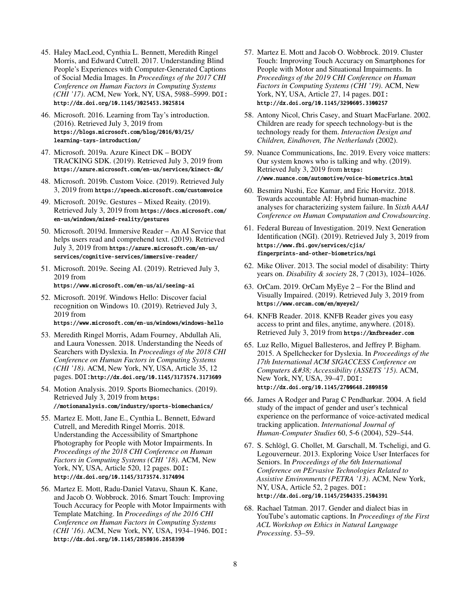- <span id="page-7-12"></span>45. Haley MacLeod, Cynthia L. Bennett, Meredith Ringel Morris, and Edward Cutrell. 2017. Understanding Blind People's Experiences with Computer-Generated Captions of Social Media Images. In *Proceedings of the 2017 CHI Conference on Human Factors in Computing Systems (CHI '17)*. ACM, New York, NY, USA, 5988–5999. DOI: <http://dx.doi.org/10.1145/3025453.3025814>
- <span id="page-7-22"></span>46. Microsoft. 2016. Learning from Tay's introduction. (2016). Retrieved July 3, 2019 from [https://blogs.microsoft.com/blog/2016/03/25/](https://blogs.microsoft.com/blog/2016/03/25/learning-tays-introduction/) [learning-tays-introduction/](https://blogs.microsoft.com/blog/2016/03/25/learning-tays-introduction/)
- <span id="page-7-4"></span>47. Microsoft. 2019a. Azure Kinect DK – BODY TRACKING SDK. (2019). Retrieved July 3, 2019 from <https://azure.microsoft.com/en-us/services/kinect-dk/>
- <span id="page-7-17"></span>48. Microsoft. 2019b. Custom Voice. (2019). Retrieved July 3, 2019 from <https://speech.microsoft.com/customvoice>
- <span id="page-7-3"></span>49. Microsoft. 2019c. Gestures – Mixed Reaity. (2019). Retrieved July 3, 2019 from [https://docs.microsoft.com/](https://docs.microsoft.com/en-us/windows/mixed-reality/gestures) [en-us/windows/mixed-reality/gestures](https://docs.microsoft.com/en-us/windows/mixed-reality/gestures)
- <span id="page-7-19"></span>50. Microsoft. 2019d. Immersive Reader – An AI Service that helps users read and comprehend text. (2019). Retrieved July 3, 2019 from [https://azure.microsoft.com/en-us/](https://azure.microsoft.com/en-us/services/cognitive-services/immersive-reader/) [services/cognitive-services/immersive-reader/](https://azure.microsoft.com/en-us/services/cognitive-services/immersive-reader/)
- <span id="page-7-8"></span>51. Microsoft. 2019e. Seeing AI. (2019). Retrieved July 3, 2019 from <https://www.microsoft.com/en-us/ai/seeing-ai>
- <span id="page-7-1"></span>52. Microsoft. 2019f. Windows Hello: Discover facial recognition on Windows 10. (2019). Retrieved July 3, 2019 from <https://www.microsoft.com/en-us/windows/windows-hello>
- <span id="page-7-20"></span>53. Meredith Ringel Morris, Adam Fourney, Abdullah Ali, and Laura Vonessen. 2018. Understanding the Needs of Searchers with Dyslexia. In *Proceedings of the 2018 CHI Conference on Human Factors in Computing Systems (CHI '18)*. ACM, New York, NY, USA, Article 35, 12 pages. DOI:<http://dx.doi.org/10.1145/3173574.3173609>
- <span id="page-7-5"></span>54. Motion Analysis. 2019. Sports Biomechanics. (2019). Retrieved July 3, 2019 from [https:](https://motionanalysis.com/industry/sports-biomechanics/) [//motionanalysis.com/industry/sports-biomechanics/](https://motionanalysis.com/industry/sports-biomechanics/)
- <span id="page-7-11"></span>55. Martez E. Mott, Jane E., Cynthia L. Bennett, Edward Cutrell, and Meredith Ringel Morris. 2018. Understanding the Accessibility of Smartphone Photography for People with Motor Impairments. In *Proceedings of the 2018 CHI Conference on Human Factors in Computing Systems (CHI '18)*. ACM, New York, NY, USA, Article 520, 12 pages. DOI: <http://dx.doi.org/10.1145/3173574.3174094>
- <span id="page-7-6"></span>56. Martez E. Mott, Radu-Daniel Vatavu, Shaun K. Kane, and Jacob O. Wobbrock. 2016. Smart Touch: Improving Touch Accuracy for People with Motor Impairments with Template Matching. In *Proceedings of the 2016 CHI Conference on Human Factors in Computing Systems (CHI '16)*. ACM, New York, NY, USA, 1934–1946. DOI: <http://dx.doi.org/10.1145/2858036.2858390>
- <span id="page-7-7"></span>57. Martez E. Mott and Jacob O. Wobbrock. 2019. Cluster Touch: Improving Touch Accuracy on Smartphones for People with Motor and Situational Impairments. In *Proceedings of the 2019 CHI Conference on Human Factors in Computing Systems (CHI '19)*. ACM, New York, NY, USA, Article 27, 14 pages. DOI: <http://dx.doi.org/10.1145/3290605.3300257>
- <span id="page-7-13"></span>58. Antony Nicol, Chris Casey, and Stuart MacFarlane. 2002. Children are ready for speech technology-but is the technology ready for them. *Interaction Design and Children, Eindhoven, The Netherlands* (2002).
- <span id="page-7-18"></span>59. Nuance Communications, Inc. 2019. Every voice matters: Our system knows who is talking and why. (2019). Retrieved July 3, 2019 from [https:](https://www.nuance.com/automotive/voice-biometrics.html) [//www.nuance.com/automotive/voice-biometrics.html](https://www.nuance.com/automotive/voice-biometrics.html)
- <span id="page-7-23"></span>60. Besmira Nushi, Ece Kamar, and Eric Horvitz. 2018. Towards accountable AI: Hybrid human-machine analyses for characterizing system failure. In *Sixth AAAI Conference on Human Computation and Crowdsourcing*.
- <span id="page-7-2"></span>61. Federal Bureau of Investigation. 2019. Next Generation Identification (NGI). (2019). Retrieved July 3, 2019 from [https://www.fbi.gov/services/cjis/](https://www.fbi.gov/services/cjis/fingerprints-and-other-biometrics/ngi) [fingerprints-and-other-biometrics/ngi](https://www.fbi.gov/services/cjis/fingerprints-and-other-biometrics/ngi)
- <span id="page-7-0"></span>62. Mike Oliver. 2013. The social model of disability: Thirty years on. *Disability & society* 28, 7 (2013), 1024–1026.
- <span id="page-7-10"></span>63. OrCam. 2019. OrCam MyEye 2 – For the Blind and Visually Impaired. (2019). Retrieved July 3, 2019 from <https://www.orcam.com/en/myeye2/>
- <span id="page-7-9"></span>64. KNFB Reader. 2018. KNFB Reader gives you easy access to print and files, anytime, anywhere. (2018). Retrieved July 3, 2019 from <https://knfbreader.com>
- <span id="page-7-21"></span>65. Luz Rello, Miguel Ballesteros, and Jeffrey P. Bigham. 2015. A Spellchecker for Dyslexia. In *Proceedings of the 17th International ACM SIGACCESS Conference on Computers & Accessibility (ASSETS '15)*. ACM, New York, NY, USA, 39–47. DOI: <http://dx.doi.org/10.1145/2700648.2809850>
- <span id="page-7-14"></span>66. James A Rodger and Parag C Pendharkar. 2004. A field study of the impact of gender and user's technical experience on the performance of voice-activated medical tracking application. *International Journal of Human-Computer Studies* 60, 5-6 (2004), 529–544.
- <span id="page-7-16"></span>67. S. Schlögl, G. Chollet, M. Garschall, M. Tscheligi, and G. Legouverneur. 2013. Exploring Voice User Interfaces for Seniors. In *Proceedings of the 6th International Conference on PErvasive Technologies Related to Assistive Environments (PETRA '13)*. ACM, New York, NY, USA, Article 52, 2 pages. DOI: <http://dx.doi.org/10.1145/2504335.2504391>
- <span id="page-7-15"></span>68. Rachael Tatman. 2017. Gender and dialect bias in YouTube's automatic captions. In *Proceedings of the First ACL Workshop on Ethics in Natural Language Processing*. 53–59.